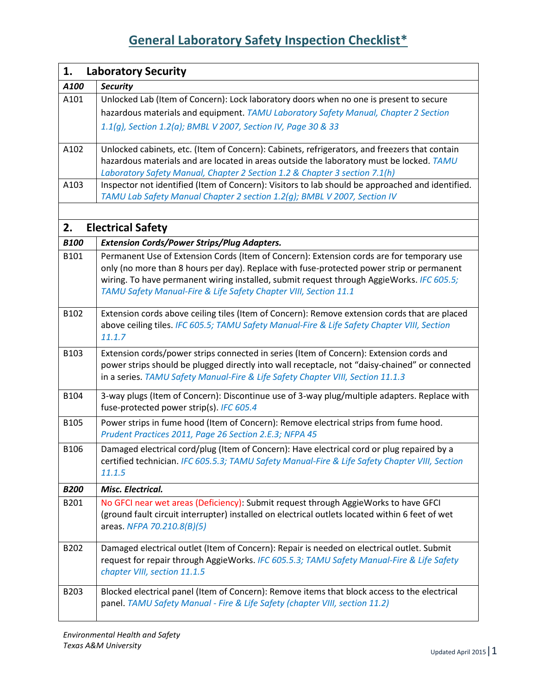| 1.          | <b>Laboratory Security</b>                                                                                                                                                              |
|-------------|-----------------------------------------------------------------------------------------------------------------------------------------------------------------------------------------|
| A100        | <b>Security</b>                                                                                                                                                                         |
| A101        | Unlocked Lab (Item of Concern): Lock laboratory doors when no one is present to secure                                                                                                  |
|             | hazardous materials and equipment. TAMU Laboratory Safety Manual, Chapter 2 Section                                                                                                     |
|             | 1.1(g), Section 1.2(a); BMBL V 2007, Section IV, Page 30 & 33                                                                                                                           |
|             |                                                                                                                                                                                         |
| A102        | Unlocked cabinets, etc. (Item of Concern): Cabinets, refrigerators, and freezers that contain                                                                                           |
|             | hazardous materials and are located in areas outside the laboratory must be locked. TAMU                                                                                                |
|             | Laboratory Safety Manual, Chapter 2 Section 1.2 & Chapter 3 section 7.1(h)                                                                                                              |
| A103        | Inspector not identified (Item of Concern): Visitors to lab should be approached and identified.                                                                                        |
|             | TAMU Lab Safety Manual Chapter 2 section 1.2(g); BMBL V 2007, Section IV                                                                                                                |
|             |                                                                                                                                                                                         |
| 2.          | <b>Electrical Safety</b>                                                                                                                                                                |
| <b>B100</b> | <b>Extension Cords/Power Strips/Plug Adapters.</b>                                                                                                                                      |
| B101        | Permanent Use of Extension Cords (Item of Concern): Extension cords are for temporary use                                                                                               |
|             | only (no more than 8 hours per day). Replace with fuse-protected power strip or permanent                                                                                               |
|             | wiring. To have permanent wiring installed, submit request through AggieWorks. IFC 605.5;                                                                                               |
|             | TAMU Safety Manual-Fire & Life Safety Chapter VIII, Section 11.1                                                                                                                        |
| B102        | Extension cords above ceiling tiles (Item of Concern): Remove extension cords that are placed                                                                                           |
|             | above ceiling tiles. IFC 605.5; TAMU Safety Manual-Fire & Life Safety Chapter VIII, Section                                                                                             |
|             | 11.1.7                                                                                                                                                                                  |
| B103        | Extension cords/power strips connected in series (Item of Concern): Extension cords and                                                                                                 |
|             | power strips should be plugged directly into wall receptacle, not "daisy-chained" or connected                                                                                          |
|             | in a series. TAMU Safety Manual-Fire & Life Safety Chapter VIII, Section 11.1.3                                                                                                         |
| B104        | 3-way plugs (Item of Concern): Discontinue use of 3-way plug/multiple adapters. Replace with                                                                                            |
|             | fuse-protected power strip(s). IFC 605.4                                                                                                                                                |
| B105        | Power strips in fume hood (Item of Concern): Remove electrical strips from fume hood.                                                                                                   |
|             | Prudent Practices 2011, Page 26 Section 2.E.3; NFPA 45                                                                                                                                  |
| B106        | Damaged electrical cord/plug (Item of Concern): Have electrical cord or plug repaired by a                                                                                              |
|             | certified technician. IFC 605.5.3; TAMU Safety Manual-Fire & Life Safety Chapter VIII, Section                                                                                          |
|             | 11.1.5                                                                                                                                                                                  |
| <b>B200</b> | Misc. Electrical.                                                                                                                                                                       |
| B201        | No GFCI near wet areas (Deficiency): Submit request through AggieWorks to have GFCI                                                                                                     |
|             | (ground fault circuit interrupter) installed on electrical outlets located within 6 feet of wet                                                                                         |
|             | areas. NFPA 70.210.8(B)(5)                                                                                                                                                              |
|             |                                                                                                                                                                                         |
| B202        | Damaged electrical outlet (Item of Concern): Repair is needed on electrical outlet. Submit<br>request for repair through AggieWorks. IFC 605.5.3; TAMU Safety Manual-Fire & Life Safety |
|             | chapter VIII, section 11.1.5                                                                                                                                                            |
|             |                                                                                                                                                                                         |
| B203        | Blocked electrical panel (Item of Concern): Remove items that block access to the electrical                                                                                            |
|             | panel. TAMU Safety Manual - Fire & Life Safety (chapter VIII, section 11.2)                                                                                                             |
|             |                                                                                                                                                                                         |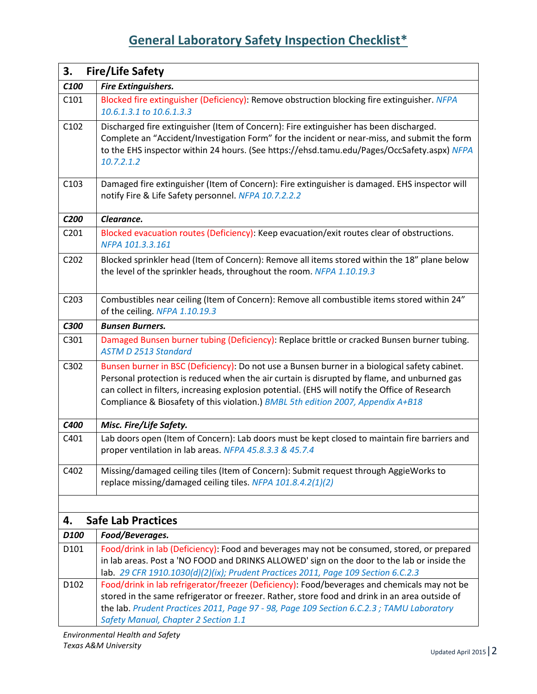| 3.                | <b>Fire/Life Safety</b>                                                                                                                                                                                                                                                                                                                                                             |
|-------------------|-------------------------------------------------------------------------------------------------------------------------------------------------------------------------------------------------------------------------------------------------------------------------------------------------------------------------------------------------------------------------------------|
| C <sub>100</sub>  | <b>Fire Extinguishers.</b>                                                                                                                                                                                                                                                                                                                                                          |
| C101              | Blocked fire extinguisher (Deficiency): Remove obstruction blocking fire extinguisher. NFPA<br>10.6.1.3.1 to 10.6.1.3.3                                                                                                                                                                                                                                                             |
| C102              | Discharged fire extinguisher (Item of Concern): Fire extinguisher has been discharged.<br>Complete an "Accident/Investigation Form" for the incident or near-miss, and submit the form<br>to the EHS inspector within 24 hours. (See https://ehsd.tamu.edu/Pages/OccSafety.aspx) NFPA<br>10.7.2.1.2                                                                                 |
| C103              | Damaged fire extinguisher (Item of Concern): Fire extinguisher is damaged. EHS inspector will<br>notify Fire & Life Safety personnel. NFPA 10.7.2.2.2                                                                                                                                                                                                                               |
| C200              | Clearance.                                                                                                                                                                                                                                                                                                                                                                          |
| C <sub>201</sub>  | Blocked evacuation routes (Deficiency): Keep evacuation/exit routes clear of obstructions.<br>NFPA 101.3.3.161                                                                                                                                                                                                                                                                      |
| C202              | Blocked sprinkler head (Item of Concern): Remove all items stored within the 18" plane below<br>the level of the sprinkler heads, throughout the room. NFPA 1.10.19.3                                                                                                                                                                                                               |
| C <sub>2</sub> 03 | Combustibles near ceiling (Item of Concern): Remove all combustible items stored within 24"<br>of the ceiling. NFPA 1.10.19.3                                                                                                                                                                                                                                                       |
| C300              | <b>Bunsen Burners.</b>                                                                                                                                                                                                                                                                                                                                                              |
| C301              | Damaged Bunsen burner tubing (Deficiency): Replace brittle or cracked Bunsen burner tubing.<br><b>ASTM D 2513 Standard</b>                                                                                                                                                                                                                                                          |
| C302              | Bunsen burner in BSC (Deficiency): Do not use a Bunsen burner in a biological safety cabinet.<br>Personal protection is reduced when the air curtain is disrupted by flame, and unburned gas<br>can collect in filters, increasing explosion potential. (EHS will notify the Office of Research<br>Compliance & Biosafety of this violation.) BMBL 5th edition 2007, Appendix A+B18 |
| C400              | Misc. Fire/Life Safety.                                                                                                                                                                                                                                                                                                                                                             |
| C401              | Lab doors open (Item of Concern): Lab doors must be kept closed to maintain fire barriers and<br>proper ventilation in lab areas. NFPA 45.8.3.3 & 45.7.4                                                                                                                                                                                                                            |
| C402              | Missing/damaged ceiling tiles (Item of Concern): Submit request through AggieWorks to<br>replace missing/damaged ceiling tiles. NFPA 101.8.4.2(1)(2)                                                                                                                                                                                                                                |
|                   |                                                                                                                                                                                                                                                                                                                                                                                     |
| 4.                | <b>Safe Lab Practices</b>                                                                                                                                                                                                                                                                                                                                                           |
| D100              | Food/Beverages.                                                                                                                                                                                                                                                                                                                                                                     |
| D101              | Food/drink in lab (Deficiency): Food and beverages may not be consumed, stored, or prepared<br>in lab areas. Post a 'NO FOOD and DRINKS ALLOWED' sign on the door to the lab or inside the<br>lab. 29 CFR 1910.1030(d)(2)(ix); Prudent Practices 2011, Page 109 Section 6.C.2.3                                                                                                     |
| D102              | Food/drink in lab refrigerator/freezer (Deficiency): Food/beverages and chemicals may not be<br>stored in the same refrigerator or freezer. Rather, store food and drink in an area outside of<br>the lab. Prudent Practices 2011, Page 97 - 98, Page 109 Section 6.C.2.3; TAMU Laboratory<br>Safety Manual, Chapter 2 Section 1.1                                                  |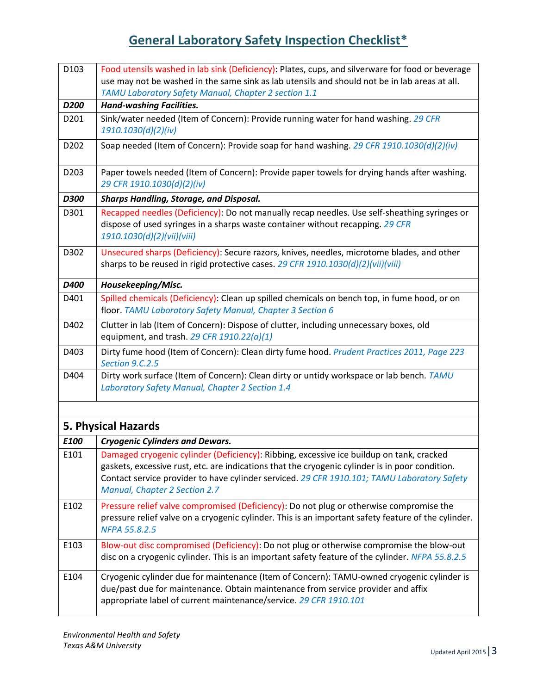| D103        | Food utensils washed in lab sink (Deficiency): Plates, cups, and silverware for food or beverage<br>use may not be washed in the same sink as lab utensils and should not be in lab areas at all.                                                                                                                           |
|-------------|-----------------------------------------------------------------------------------------------------------------------------------------------------------------------------------------------------------------------------------------------------------------------------------------------------------------------------|
|             | TAMU Laboratory Safety Manual, Chapter 2 section 1.1                                                                                                                                                                                                                                                                        |
| D200        | <b>Hand-washing Facilities.</b>                                                                                                                                                                                                                                                                                             |
| D201        | Sink/water needed (Item of Concern): Provide running water for hand washing. 29 CFR<br>1910.1030(d)(2)(iv)                                                                                                                                                                                                                  |
| D202        | Soap needed (Item of Concern): Provide soap for hand washing. 29 CFR 1910.1030(d)(2)(iv)                                                                                                                                                                                                                                    |
| D203        | Paper towels needed (Item of Concern): Provide paper towels for drying hands after washing.<br>29 CFR 1910.1030(d)(2)(iv)                                                                                                                                                                                                   |
| <b>D300</b> | <b>Sharps Handling, Storage, and Disposal.</b>                                                                                                                                                                                                                                                                              |
| D301        | Recapped needles (Deficiency): Do not manually recap needles. Use self-sheathing syringes or<br>dispose of used syringes in a sharps waste container without recapping. 29 CFR<br>1910.1030(d)(2)(vii)(viii)                                                                                                                |
| D302        | Unsecured sharps (Deficiency): Secure razors, knives, needles, microtome blades, and other<br>sharps to be reused in rigid protective cases. 29 CFR 1910.1030(d)(2)(vii)(viii)                                                                                                                                              |
| D400        | Housekeeping/Misc.                                                                                                                                                                                                                                                                                                          |
| D401        | Spilled chemicals (Deficiency): Clean up spilled chemicals on bench top, in fume hood, or on<br>floor. TAMU Laboratory Safety Manual, Chapter 3 Section 6                                                                                                                                                                   |
| D402        | Clutter in lab (Item of Concern): Dispose of clutter, including unnecessary boxes, old<br>equipment, and trash. 29 CFR $1910.22(a)(1)$                                                                                                                                                                                      |
| D403        | Dirty fume hood (Item of Concern): Clean dirty fume hood. Prudent Practices 2011, Page 223<br>Section 9.C.2.5                                                                                                                                                                                                               |
| D404        | Dirty work surface (Item of Concern): Clean dirty or untidy workspace or lab bench. TAMU<br>Laboratory Safety Manual, Chapter 2 Section 1.4                                                                                                                                                                                 |
|             | 5. Physical Hazards                                                                                                                                                                                                                                                                                                         |
| E100        | <b>Cryogenic Cylinders and Dewars.</b>                                                                                                                                                                                                                                                                                      |
| E101        | Damaged cryogenic cylinder (Deficiency): Ribbing, excessive ice buildup on tank, cracked<br>gaskets, excessive rust, etc. are indications that the cryogenic cylinder is in poor condition.<br>Contact service provider to have cylinder serviced. 29 CFR 1910.101; TAMU Laboratory Safety<br>Manual, Chapter 2 Section 2.7 |
| E102        | Pressure relief valve compromised (Deficiency): Do not plug or otherwise compromise the<br>pressure relief valve on a cryogenic cylinder. This is an important safety feature of the cylinder.<br>NFPA 55.8.2.5                                                                                                             |
| E103        | Blow-out disc compromised (Deficiency): Do not plug or otherwise compromise the blow-out<br>disc on a cryogenic cylinder. This is an important safety feature of the cylinder. NFPA 55.8.2.5                                                                                                                                |
| E104        | Cryogenic cylinder due for maintenance (Item of Concern): TAMU-owned cryogenic cylinder is<br>due/past due for maintenance. Obtain maintenance from service provider and affix<br>appropriate label of current maintenance/service. 29 CFR 1910.101                                                                         |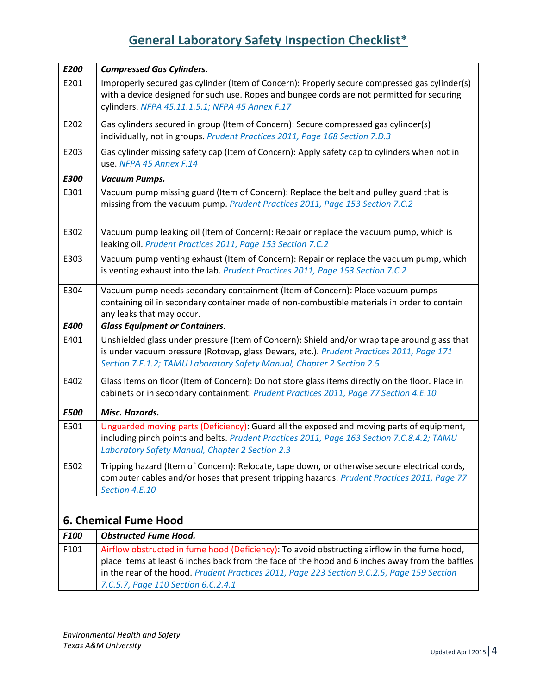| E200        | <b>Compressed Gas Cylinders.</b>                                                                 |
|-------------|--------------------------------------------------------------------------------------------------|
| E201        | Improperly secured gas cylinder (Item of Concern): Properly secure compressed gas cylinder(s)    |
|             | with a device designed for such use. Ropes and bungee cords are not permitted for securing       |
|             | cylinders. NFPA 45.11.1.5.1; NFPA 45 Annex F.17                                                  |
| E202        | Gas cylinders secured in group (Item of Concern): Secure compressed gas cylinder(s)              |
|             | individually, not in groups. Prudent Practices 2011, Page 168 Section 7.D.3                      |
| E203        | Gas cylinder missing safety cap (Item of Concern): Apply safety cap to cylinders when not in     |
|             | use. NFPA 45 Annex F.14                                                                          |
| E300        | Vacuum Pumps.                                                                                    |
| E301        | Vacuum pump missing guard (Item of Concern): Replace the belt and pulley guard that is           |
|             | missing from the vacuum pump. Prudent Practices 2011, Page 153 Section 7.C.2                     |
|             |                                                                                                  |
| E302        | Vacuum pump leaking oil (Item of Concern): Repair or replace the vacuum pump, which is           |
|             | leaking oil. Prudent Practices 2011, Page 153 Section 7.C.2                                      |
| E303        | Vacuum pump venting exhaust (Item of Concern): Repair or replace the vacuum pump, which          |
|             | is venting exhaust into the lab. Prudent Practices 2011, Page 153 Section 7.C.2                  |
| E304        | Vacuum pump needs secondary containment (Item of Concern): Place vacuum pumps                    |
|             | containing oil in secondary container made of non-combustible materials in order to contain      |
|             | any leaks that may occur.                                                                        |
| E400        | <b>Glass Equipment or Containers.</b>                                                            |
| E401        | Unshielded glass under pressure (Item of Concern): Shield and/or wrap tape around glass that     |
|             | is under vacuum pressure (Rotovap, glass Dewars, etc.). Prudent Practices 2011, Page 171         |
|             | Section 7.E.1.2; TAMU Laboratory Safety Manual, Chapter 2 Section 2.5                            |
| E402        | Glass items on floor (Item of Concern): Do not store glass items directly on the floor. Place in |
|             | cabinets or in secondary containment. Prudent Practices 2011, Page 77 Section 4.E.10             |
| <b>E500</b> | Misc. Hazards.                                                                                   |
| E501        | Unguarded moving parts (Deficiency): Guard all the exposed and moving parts of equipment,        |
|             | including pinch points and belts. Prudent Practices 2011, Page 163 Section 7.C.8.4.2; TAMU       |
|             | Laboratory Safety Manual, Chapter 2 Section 2.3                                                  |
| E502        | Tripping hazard (Item of Concern): Relocate, tape down, or otherwise secure electrical cords,    |
|             | computer cables and/or hoses that present tripping hazards. Prudent Practices 2011, Page 77      |
|             | Section 4.E.10                                                                                   |
|             |                                                                                                  |
|             | <b>6. Chemical Fume Hood</b>                                                                     |
| F100        | <b>Obstructed Fume Hood.</b>                                                                     |
| F101        | Airflow obstructed in fume hood (Deficiency): To avoid obstructing airflow in the fume hood,     |
|             | place items at least 6 inches back from the face of the hood and 6 inches away from the baffles  |
|             | in the rear of the hood. Prudent Practices 2011, Page 223 Section 9.C.2.5, Page 159 Section      |
|             | 7.C.5.7, Page 110 Section 6.C.2.4.1                                                              |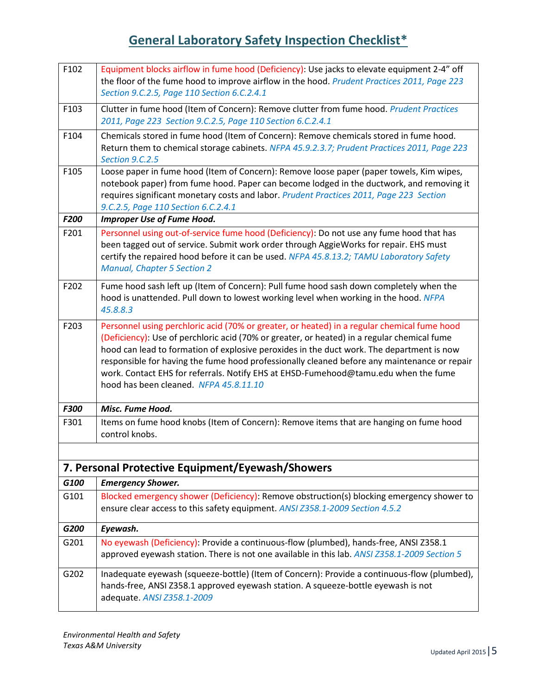| F102 | Equipment blocks airflow in fume hood (Deficiency): Use jacks to elevate equipment 2-4" off<br>the floor of the fume hood to improve airflow in the hood. Prudent Practices 2011, Page 223<br>Section 9.C.2.5, Page 110 Section 6.C.2.4.1                                                                                                                                                                                                                                                                                |
|------|--------------------------------------------------------------------------------------------------------------------------------------------------------------------------------------------------------------------------------------------------------------------------------------------------------------------------------------------------------------------------------------------------------------------------------------------------------------------------------------------------------------------------|
| F103 | Clutter in fume hood (Item of Concern): Remove clutter from fume hood. Prudent Practices<br>2011, Page 223 Section 9.C.2.5, Page 110 Section 6.C.2.4.1                                                                                                                                                                                                                                                                                                                                                                   |
| F104 | Chemicals stored in fume hood (Item of Concern): Remove chemicals stored in fume hood.<br>Return them to chemical storage cabinets. NFPA 45.9.2.3.7; Prudent Practices 2011, Page 223<br>Section 9.C.2.5                                                                                                                                                                                                                                                                                                                 |
| F105 | Loose paper in fume hood (Item of Concern): Remove loose paper (paper towels, Kim wipes,<br>notebook paper) from fume hood. Paper can become lodged in the ductwork, and removing it<br>requires significant monetary costs and labor. Prudent Practices 2011, Page 223 Section<br>9.C.2.5, Page 110 Section 6.C.2.4.1                                                                                                                                                                                                   |
| F200 | <b>Improper Use of Fume Hood.</b>                                                                                                                                                                                                                                                                                                                                                                                                                                                                                        |
| F201 | Personnel using out-of-service fume hood (Deficiency): Do not use any fume hood that has<br>been tagged out of service. Submit work order through AggieWorks for repair. EHS must<br>certify the repaired hood before it can be used. NFPA 45.8.13.2; TAMU Laboratory Safety<br><b>Manual, Chapter 5 Section 2</b>                                                                                                                                                                                                       |
| F202 | Fume hood sash left up (Item of Concern): Pull fume hood sash down completely when the<br>hood is unattended. Pull down to lowest working level when working in the hood. NFPA<br>45.8.8.3                                                                                                                                                                                                                                                                                                                               |
| F203 | Personnel using perchloric acid (70% or greater, or heated) in a regular chemical fume hood<br>(Deficiency): Use of perchloric acid (70% or greater, or heated) in a regular chemical fume<br>hood can lead to formation of explosive peroxides in the duct work. The department is now<br>responsible for having the fume hood professionally cleaned before any maintenance or repair<br>work. Contact EHS for referrals. Notify EHS at EHSD-Fumehood@tamu.edu when the fume<br>hood has been cleaned. NFPA 45.8.11.10 |
| F300 | Misc. Fume Hood.                                                                                                                                                                                                                                                                                                                                                                                                                                                                                                         |
| F301 | Items on fume hood knobs (Item of Concern): Remove items that are hanging on fume hood<br>control knobs.                                                                                                                                                                                                                                                                                                                                                                                                                 |
|      |                                                                                                                                                                                                                                                                                                                                                                                                                                                                                                                          |
|      | 7. Personal Protective Equipment/Eyewash/Showers                                                                                                                                                                                                                                                                                                                                                                                                                                                                         |
| G100 | <b>Emergency Shower.</b>                                                                                                                                                                                                                                                                                                                                                                                                                                                                                                 |
| G101 | Blocked emergency shower (Deficiency): Remove obstruction(s) blocking emergency shower to<br>ensure clear access to this safety equipment. ANSI Z358.1-2009 Section 4.5.2                                                                                                                                                                                                                                                                                                                                                |
| G200 | Eyewash.                                                                                                                                                                                                                                                                                                                                                                                                                                                                                                                 |
| G201 | No eyewash (Deficiency): Provide a continuous-flow (plumbed), hands-free, ANSI Z358.1<br>approved eyewash station. There is not one available in this lab. ANSI Z358.1-2009 Section 5                                                                                                                                                                                                                                                                                                                                    |
| G202 | Inadequate eyewash (squeeze-bottle) (Item of Concern): Provide a continuous-flow (plumbed),<br>hands-free, ANSI Z358.1 approved eyewash station. A squeeze-bottle eyewash is not<br>adequate. ANSI Z358.1-2009                                                                                                                                                                                                                                                                                                           |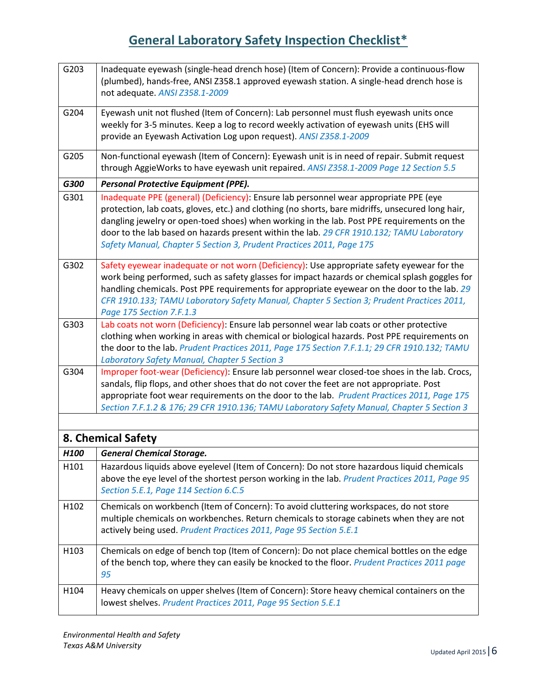| G203             | Inadequate eyewash (single-head drench hose) (Item of Concern): Provide a continuous-flow<br>(plumbed), hands-free, ANSI Z358.1 approved eyewash station. A single-head drench hose is<br>not adequate. ANSI Z358.1-2009                                                                                                                                                                                                                                      |
|------------------|---------------------------------------------------------------------------------------------------------------------------------------------------------------------------------------------------------------------------------------------------------------------------------------------------------------------------------------------------------------------------------------------------------------------------------------------------------------|
| G204             | Eyewash unit not flushed (Item of Concern): Lab personnel must flush eyewash units once<br>weekly for 3-5 minutes. Keep a log to record weekly activation of eyewash units (EHS will<br>provide an Eyewash Activation Log upon request). ANSI Z358.1-2009                                                                                                                                                                                                     |
| G205             | Non-functional eyewash (Item of Concern): Eyewash unit is in need of repair. Submit request<br>through AggieWorks to have eyewash unit repaired. ANSI Z358.1-2009 Page 12 Section 5.5                                                                                                                                                                                                                                                                         |
| G300             | <b>Personal Protective Equipment (PPE).</b>                                                                                                                                                                                                                                                                                                                                                                                                                   |
| G301             | Inadequate PPE (general) (Deficiency): Ensure lab personnel wear appropriate PPE (eye<br>protection, lab coats, gloves, etc.) and clothing (no shorts, bare midriffs, unsecured long hair,<br>dangling jewelry or open-toed shoes) when working in the lab. Post PPE requirements on the<br>door to the lab based on hazards present within the lab. 29 CFR 1910.132; TAMU Laboratory<br>Safety Manual, Chapter 5 Section 3, Prudent Practices 2011, Page 175 |
| G302             | Safety eyewear inadequate or not worn (Deficiency): Use appropriate safety eyewear for the<br>work being performed, such as safety glasses for impact hazards or chemical splash goggles for<br>handling chemicals. Post PPE requirements for appropriate eyewear on the door to the lab. 29<br>CFR 1910.133; TAMU Laboratory Safety Manual, Chapter 5 Section 3; Prudent Practices 2011,<br>Page 175 Section 7.F.1.3                                         |
| G303             | Lab coats not worn (Deficiency): Ensure lab personnel wear lab coats or other protective<br>clothing when working in areas with chemical or biological hazards. Post PPE requirements on<br>the door to the lab. Prudent Practices 2011, Page 175 Section 7.F.1.1; 29 CFR 1910.132; TAMU<br><b>Laboratory Safety Manual, Chapter 5 Section 3</b>                                                                                                              |
| G304             | Improper foot-wear (Deficiency): Ensure lab personnel wear closed-toe shoes in the lab. Crocs,<br>sandals, flip flops, and other shoes that do not cover the feet are not appropriate. Post<br>appropriate foot wear requirements on the door to the lab. Prudent Practices 2011, Page 175<br>Section 7.F.1.2 & 176; 29 CFR 1910.136; TAMU Laboratory Safety Manual, Chapter 5 Section 3                                                                      |
|                  |                                                                                                                                                                                                                                                                                                                                                                                                                                                               |
|                  | 8. Chemical Safety                                                                                                                                                                                                                                                                                                                                                                                                                                            |
| H <sub>100</sub> | <b>General Chemical Storage.</b>                                                                                                                                                                                                                                                                                                                                                                                                                              |
| H101             | Hazardous liquids above eyelevel (Item of Concern): Do not store hazardous liquid chemicals<br>above the eye level of the shortest person working in the lab. Prudent Practices 2011, Page 95<br>Section 5.E.1, Page 114 Section 6.C.5                                                                                                                                                                                                                        |
| H102             | Chemicals on workbench (Item of Concern): To avoid cluttering workspaces, do not store<br>multiple chemicals on workbenches. Return chemicals to storage cabinets when they are not<br>actively being used. Prudent Practices 2011, Page 95 Section 5.E.1                                                                                                                                                                                                     |
| H103             | Chemicals on edge of bench top (Item of Concern): Do not place chemical bottles on the edge<br>of the bench top, where they can easily be knocked to the floor. Prudent Practices 2011 page<br>95                                                                                                                                                                                                                                                             |
| H104             | Heavy chemicals on upper shelves (Item of Concern): Store heavy chemical containers on the<br>lowest shelves. Prudent Practices 2011, Page 95 Section 5.E.1                                                                                                                                                                                                                                                                                                   |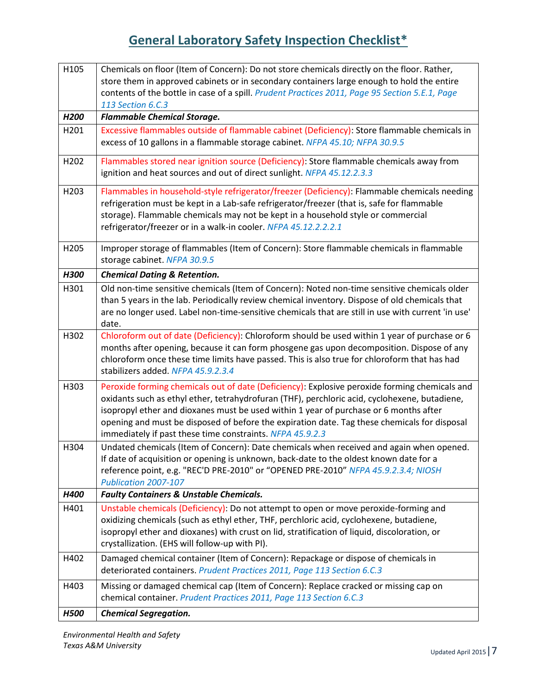| H105             | Chemicals on floor (Item of Concern): Do not store chemicals directly on the floor. Rather,                              |
|------------------|--------------------------------------------------------------------------------------------------------------------------|
|                  | store them in approved cabinets or in secondary containers large enough to hold the entire                               |
|                  | contents of the bottle in case of a spill. Prudent Practices 2011, Page 95 Section 5.E.1, Page                           |
|                  | 113 Section 6.C.3                                                                                                        |
| H <sub>200</sub> | <b>Flammable Chemical Storage.</b>                                                                                       |
| H201             | Excessive flammables outside of flammable cabinet (Deficiency): Store flammable chemicals in                             |
|                  | excess of 10 gallons in a flammable storage cabinet. NFPA 45.10; NFPA 30.9.5                                             |
| H202             | Flammables stored near ignition source (Deficiency): Store flammable chemicals away from                                 |
|                  | ignition and heat sources and out of direct sunlight. NFPA 45.12.2.3.3                                                   |
| H <sub>203</sub> | Flammables in household-style refrigerator/freezer (Deficiency): Flammable chemicals needing                             |
|                  | refrigeration must be kept in a Lab-safe refrigerator/freezer (that is, safe for flammable                               |
|                  | storage). Flammable chemicals may not be kept in a household style or commercial                                         |
|                  | refrigerator/freezer or in a walk-in cooler. NFPA 45.12.2.2.2.1                                                          |
|                  |                                                                                                                          |
| H <sub>205</sub> | Improper storage of flammables (Item of Concern): Store flammable chemicals in flammable<br>storage cabinet. NFPA 30.9.5 |
|                  |                                                                                                                          |
| H300             | <b>Chemical Dating &amp; Retention.</b>                                                                                  |
| H301             | Old non-time sensitive chemicals (Item of Concern): Noted non-time sensitive chemicals older                             |
|                  | than 5 years in the lab. Periodically review chemical inventory. Dispose of old chemicals that                           |
|                  | are no longer used. Label non-time-sensitive chemicals that are still in use with current 'in use'<br>date.              |
| H302             | Chloroform out of date (Deficiency): Chloroform should be used within 1 year of purchase or 6                            |
|                  | months after opening, because it can form phosgene gas upon decomposition. Dispose of any                                |
|                  | chloroform once these time limits have passed. This is also true for chloroform that has had                             |
|                  | stabilizers added. NFPA 45.9.2.3.4                                                                                       |
| H303             | Peroxide forming chemicals out of date (Deficiency): Explosive peroxide forming chemicals and                            |
|                  | oxidants such as ethyl ether, tetrahydrofuran (THF), perchloric acid, cyclohexene, butadiene,                            |
|                  | isopropyl ether and dioxanes must be used within 1 year of purchase or 6 months after                                    |
|                  | opening and must be disposed of before the expiration date. Tag these chemicals for disposal                             |
|                  | immediately if past these time constraints. NFPA 45.9.2.3                                                                |
| H304             | Undated chemicals (Item of Concern): Date chemicals when received and again when opened.                                 |
|                  | If date of acquisition or opening is unknown, back-date to the oldest known date for a                                   |
|                  | reference point, e.g. "REC'D PRE-2010" or "OPENED PRE-2010" NFPA 45.9.2.3.4; NIOSH                                       |
|                  | Publication 2007-107                                                                                                     |
| H400             | <b>Faulty Containers &amp; Unstable Chemicals.</b>                                                                       |
| H401             | Unstable chemicals (Deficiency): Do not attempt to open or move peroxide-forming and                                     |
|                  | oxidizing chemicals (such as ethyl ether, THF, perchloric acid, cyclohexene, butadiene,                                  |
|                  | isopropyl ether and dioxanes) with crust on lid, stratification of liquid, discoloration, or                             |
|                  | crystallization. (EHS will follow-up with PI).                                                                           |
| H402             | Damaged chemical container (Item of Concern): Repackage or dispose of chemicals in                                       |
|                  | deteriorated containers. Prudent Practices 2011, Page 113 Section 6.C.3                                                  |
| H403             | Missing or damaged chemical cap (Item of Concern): Replace cracked or missing cap on                                     |
|                  | chemical container. Prudent Practices 2011, Page 113 Section 6.C.3                                                       |
| <b>H500</b>      | <b>Chemical Segregation.</b>                                                                                             |

*Environmental Health and Safety Texas A&M University*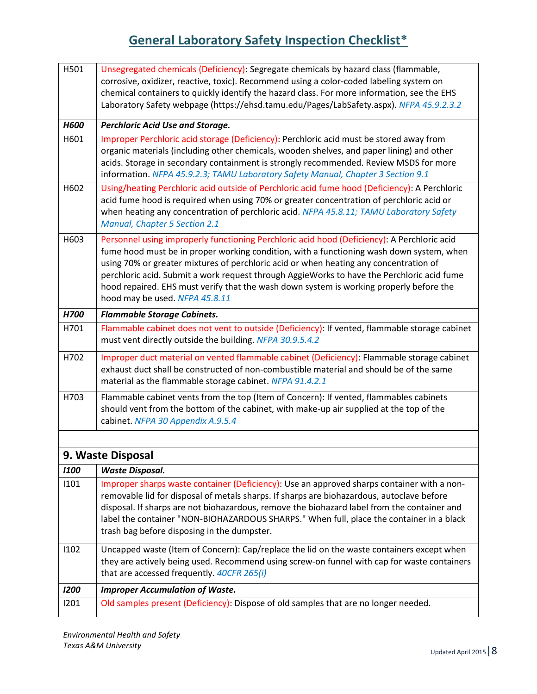| H501        | Unsegregated chemicals (Deficiency): Segregate chemicals by hazard class (flammable,                                                                                                      |
|-------------|-------------------------------------------------------------------------------------------------------------------------------------------------------------------------------------------|
|             | corrosive, oxidizer, reactive, toxic). Recommend using a color-coded labeling system on                                                                                                   |
|             | chemical containers to quickly identify the hazard class. For more information, see the EHS<br>Laboratory Safety webpage (https://ehsd.tamu.edu/Pages/LabSafety.aspx). NFPA 45.9.2.3.2    |
|             |                                                                                                                                                                                           |
| <b>H600</b> | <b>Perchloric Acid Use and Storage.</b>                                                                                                                                                   |
| H601        | Improper Perchloric acid storage (Deficiency): Perchloric acid must be stored away from                                                                                                   |
|             | organic materials (including other chemicals, wooden shelves, and paper lining) and other                                                                                                 |
|             | acids. Storage in secondary containment is strongly recommended. Review MSDS for more<br>information. NFPA 45.9.2.3; TAMU Laboratory Safety Manual, Chapter 3 Section 9.1                 |
|             |                                                                                                                                                                                           |
| H602        | Using/heating Perchloric acid outside of Perchloric acid fume hood (Deficiency): A Perchloric<br>acid fume hood is required when using 70% or greater concentration of perchloric acid or |
|             | when heating any concentration of perchloric acid. NFPA 45.8.11; TAMU Laboratory Safety                                                                                                   |
|             | Manual, Chapter 5 Section 2.1                                                                                                                                                             |
| H603        | Personnel using improperly functioning Perchloric acid hood (Deficiency): A Perchloric acid                                                                                               |
|             | fume hood must be in proper working condition, with a functioning wash down system, when                                                                                                  |
|             | using 70% or greater mixtures of perchloric acid or when heating any concentration of                                                                                                     |
|             | perchloric acid. Submit a work request through AggieWorks to have the Perchloric acid fume                                                                                                |
|             | hood repaired. EHS must verify that the wash down system is working properly before the<br>hood may be used. NFPA 45.8.11                                                                 |
|             |                                                                                                                                                                                           |
| H700        | <b>Flammable Storage Cabinets.</b>                                                                                                                                                        |
| H701        | Flammable cabinet does not vent to outside (Deficiency): If vented, flammable storage cabinet<br>must vent directly outside the building. NFPA 30.9.5.4.2                                 |
| H702        | Improper duct material on vented flammable cabinet (Deficiency): Flammable storage cabinet                                                                                                |
|             | exhaust duct shall be constructed of non-combustible material and should be of the same                                                                                                   |
|             | material as the flammable storage cabinet. NFPA 91.4.2.1                                                                                                                                  |
| H703        | Flammable cabinet vents from the top (Item of Concern): If vented, flammables cabinets                                                                                                    |
|             | should vent from the bottom of the cabinet, with make-up air supplied at the top of the                                                                                                   |
|             | cabinet. NFPA 30 Appendix A.9.5.4                                                                                                                                                         |
|             |                                                                                                                                                                                           |
|             | 9. Waste Disposal                                                                                                                                                                         |
| <b>I100</b> | <b>Waste Disposal.</b>                                                                                                                                                                    |
| 1101        | Improper sharps waste container (Deficiency): Use an approved sharps container with a non-                                                                                                |
|             | removable lid for disposal of metals sharps. If sharps are biohazardous, autoclave before                                                                                                 |
|             | disposal. If sharps are not biohazardous, remove the biohazard label from the container and                                                                                               |
|             | label the container "NON-BIOHAZARDOUS SHARPS." When full, place the container in a black<br>trash bag before disposing in the dumpster.                                                   |
|             |                                                                                                                                                                                           |
| 1102        | Uncapped waste (Item of Concern): Cap/replace the lid on the waste containers except when                                                                                                 |
|             | they are actively being used. Recommend using screw-on funnel with cap for waste containers<br>that are accessed frequently. 40CFR 265(i)                                                 |
|             |                                                                                                                                                                                           |
| 1200        | <b>Improper Accumulation of Waste.</b>                                                                                                                                                    |
| 1201        | Old samples present (Deficiency): Dispose of old samples that are no longer needed.                                                                                                       |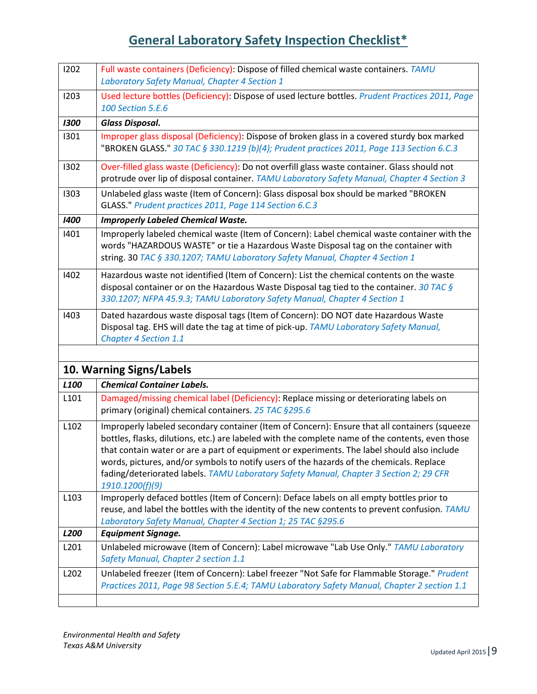| 1202             | Full waste containers (Deficiency): Dispose of filled chemical waste containers. TAMU<br>Laboratory Safety Manual, Chapter 4 Section 1                                                                                                                                                                                                                                                                                                                                                                    |
|------------------|-----------------------------------------------------------------------------------------------------------------------------------------------------------------------------------------------------------------------------------------------------------------------------------------------------------------------------------------------------------------------------------------------------------------------------------------------------------------------------------------------------------|
| 1203             | Used lecture bottles (Deficiency): Dispose of used lecture bottles. Prudent Practices 2011, Page<br>100 Section 5.E.6                                                                                                                                                                                                                                                                                                                                                                                     |
| 1300             | <b>Glass Disposal.</b>                                                                                                                                                                                                                                                                                                                                                                                                                                                                                    |
| 1301             | Improper glass disposal (Deficiency): Dispose of broken glass in a covered sturdy box marked<br>"BROKEN GLASS." 30 TAC § 330.1219 (b)(4); Prudent practices 2011, Page 113 Section 6.C.3                                                                                                                                                                                                                                                                                                                  |
| 1302             | Over-filled glass waste (Deficiency): Do not overfill glass waste container. Glass should not<br>protrude over lip of disposal container. TAMU Laboratory Safety Manual, Chapter 4 Section 3                                                                                                                                                                                                                                                                                                              |
| 1303             | Unlabeled glass waste (Item of Concern): Glass disposal box should be marked "BROKEN<br>GLASS." Prudent practices 2011, Page 114 Section 6.C.3                                                                                                                                                                                                                                                                                                                                                            |
| 1400             | <b>Improperly Labeled Chemical Waste.</b>                                                                                                                                                                                                                                                                                                                                                                                                                                                                 |
| 1401             | Improperly labeled chemical waste (Item of Concern): Label chemical waste container with the<br>words "HAZARDOUS WASTE" or tie a Hazardous Waste Disposal tag on the container with<br>string. 30 TAC § 330.1207; TAMU Laboratory Safety Manual, Chapter 4 Section 1                                                                                                                                                                                                                                      |
| 1402             | Hazardous waste not identified (Item of Concern): List the chemical contents on the waste<br>disposal container or on the Hazardous Waste Disposal tag tied to the container. 30 TAC $\zeta$<br>330.1207; NFPA 45.9.3; TAMU Laboratory Safety Manual, Chapter 4 Section 1                                                                                                                                                                                                                                 |
| 1403             | Dated hazardous waste disposal tags (Item of Concern): DO NOT date Hazardous Waste<br>Disposal tag. EHS will date the tag at time of pick-up. TAMU Laboratory Safety Manual,<br><b>Chapter 4 Section 1.1</b>                                                                                                                                                                                                                                                                                              |
|                  |                                                                                                                                                                                                                                                                                                                                                                                                                                                                                                           |
|                  | 10. Warning Signs/Labels                                                                                                                                                                                                                                                                                                                                                                                                                                                                                  |
| L <sub>100</sub> | <b>Chemical Container Labels.</b>                                                                                                                                                                                                                                                                                                                                                                                                                                                                         |
| L101             | Damaged/missing chemical label (Deficiency): Replace missing or deteriorating labels on<br>primary (original) chemical containers. 25 TAC §295.6                                                                                                                                                                                                                                                                                                                                                          |
| L102             | Improperly labeled secondary container (Item of Concern): Ensure that all containers (squeeze<br>bottles, flasks, dilutions, etc.) are labeled with the complete name of the contents, even those<br>that contain water or are a part of equipment or experiments. The label should also include<br>words, pictures, and/or symbols to notify users of the hazards of the chemicals. Replace<br>fading/deteriorated labels. TAMU Laboratory Safety Manual, Chapter 3 Section 2; 29 CFR<br>1910.1200(f)(9) |
| L103             | Improperly defaced bottles (Item of Concern): Deface labels on all empty bottles prior to<br>reuse, and label the bottles with the identity of the new contents to prevent confusion. TAMU<br>Laboratory Safety Manual, Chapter 4 Section 1; 25 TAC §295.6                                                                                                                                                                                                                                                |
| L200             | <b>Equipment Signage.</b>                                                                                                                                                                                                                                                                                                                                                                                                                                                                                 |
| L201             | Unlabeled microwave (Item of Concern): Label microwave "Lab Use Only." TAMU Laboratory<br>Safety Manual, Chapter 2 section 1.1                                                                                                                                                                                                                                                                                                                                                                            |
| L202             | Unlabeled freezer (Item of Concern): Label freezer "Not Safe for Flammable Storage." Prudent<br>Practices 2011, Page 98 Section 5.E.4; TAMU Laboratory Safety Manual, Chapter 2 section 1.1                                                                                                                                                                                                                                                                                                               |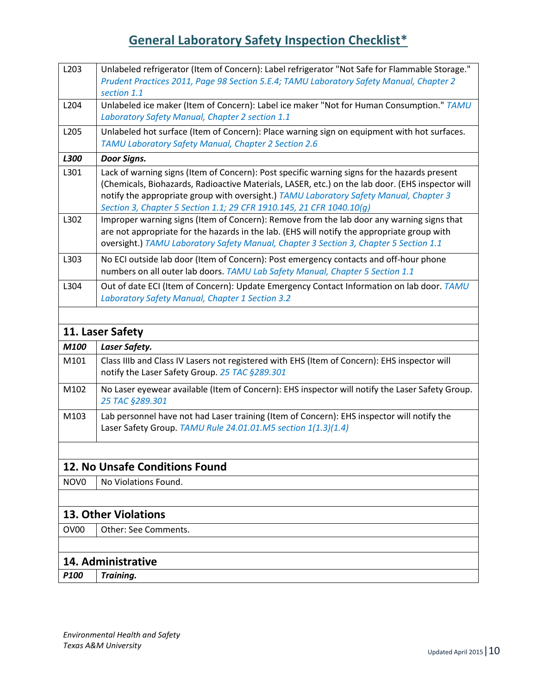| L203             | Unlabeled refrigerator (Item of Concern): Label refrigerator "Not Safe for Flammable Storage."<br>Prudent Practices 2011, Page 98 Section 5.E.4; TAMU Laboratory Safety Manual, Chapter 2<br>section 1.1                                                                                                                                                           |
|------------------|--------------------------------------------------------------------------------------------------------------------------------------------------------------------------------------------------------------------------------------------------------------------------------------------------------------------------------------------------------------------|
| L204             | Unlabeled ice maker (Item of Concern): Label ice maker "Not for Human Consumption." TAMU<br>Laboratory Safety Manual, Chapter 2 section 1.1                                                                                                                                                                                                                        |
| L205             | Unlabeled hot surface (Item of Concern): Place warning sign on equipment with hot surfaces.<br>TAMU Laboratory Safety Manual, Chapter 2 Section 2.6                                                                                                                                                                                                                |
| L300             | Door Signs.                                                                                                                                                                                                                                                                                                                                                        |
| L301             | Lack of warning signs (Item of Concern): Post specific warning signs for the hazards present<br>(Chemicals, Biohazards, Radioactive Materials, LASER, etc.) on the lab door. (EHS inspector will<br>notify the appropriate group with oversight.) TAMU Laboratory Safety Manual, Chapter 3<br>Section 3, Chapter 5 Section 1.1; 29 CFR 1910.145, 21 CFR 1040.10(g) |
| L302             | Improper warning signs (Item of Concern): Remove from the lab door any warning signs that<br>are not appropriate for the hazards in the lab. (EHS will notify the appropriate group with<br>oversight.) TAMU Laboratory Safety Manual, Chapter 3 Section 3, Chapter 5 Section 1.1                                                                                  |
| L303             | No ECI outside lab door (Item of Concern): Post emergency contacts and off-hour phone<br>numbers on all outer lab doors. TAMU Lab Safety Manual, Chapter 5 Section 1.1                                                                                                                                                                                             |
| L304             | Out of date ECI (Item of Concern): Update Emergency Contact Information on lab door. TAMU<br>Laboratory Safety Manual, Chapter 1 Section 3.2                                                                                                                                                                                                                       |
|                  |                                                                                                                                                                                                                                                                                                                                                                    |
|                  | 11. Laser Safety                                                                                                                                                                                                                                                                                                                                                   |
| M100             | Laser Safety.                                                                                                                                                                                                                                                                                                                                                      |
| M101             | Class IIIb and Class IV Lasers not registered with EHS (Item of Concern): EHS inspector will<br>notify the Laser Safety Group. 25 TAC §289.301                                                                                                                                                                                                                     |
| M102             | No Laser eyewear available (Item of Concern): EHS inspector will notify the Laser Safety Group.<br>25 TAC §289.301                                                                                                                                                                                                                                                 |
| M103             | Lab personnel have not had Laser training (Item of Concern): EHS inspector will notify the<br>Laser Safety Group. TAMU Rule 24.01.01.M5 section 1(1.3)(1.4)                                                                                                                                                                                                        |
|                  | 12. No Unsafe Conditions Found                                                                                                                                                                                                                                                                                                                                     |
| NOV <sub>0</sub> | No Violations Found.                                                                                                                                                                                                                                                                                                                                               |
|                  |                                                                                                                                                                                                                                                                                                                                                                    |
|                  | <b>13. Other Violations</b>                                                                                                                                                                                                                                                                                                                                        |
| OV <sub>00</sub> | <b>Other: See Comments.</b>                                                                                                                                                                                                                                                                                                                                        |
|                  |                                                                                                                                                                                                                                                                                                                                                                    |
|                  | 14. Administrative                                                                                                                                                                                                                                                                                                                                                 |
| P100             | Training.                                                                                                                                                                                                                                                                                                                                                          |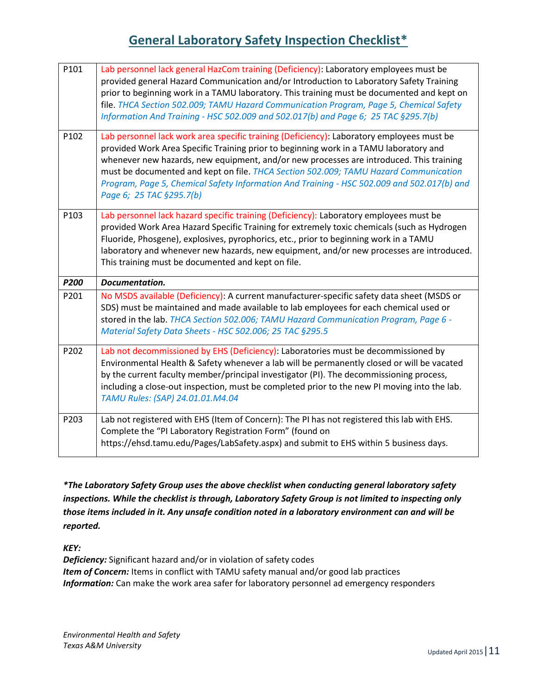| P101 | Lab personnel lack general HazCom training (Deficiency): Laboratory employees must be<br>provided general Hazard Communication and/or Introduction to Laboratory Safety Training<br>prior to beginning work in a TAMU laboratory. This training must be documented and kept on<br>file. THCA Section 502.009; TAMU Hazard Communication Program, Page 5, Chemical Safety<br>Information And Training - HSC 502.009 and 502.017(b) and Page 6; 25 TAC §295.7(b)                                  |
|------|-------------------------------------------------------------------------------------------------------------------------------------------------------------------------------------------------------------------------------------------------------------------------------------------------------------------------------------------------------------------------------------------------------------------------------------------------------------------------------------------------|
| P102 | Lab personnel lack work area specific training (Deficiency): Laboratory employees must be<br>provided Work Area Specific Training prior to beginning work in a TAMU laboratory and<br>whenever new hazards, new equipment, and/or new processes are introduced. This training<br>must be documented and kept on file. THCA Section 502.009; TAMU Hazard Communication<br>Program, Page 5, Chemical Safety Information And Training - HSC 502.009 and 502.017(b) and<br>Page 6; 25 TAC §295.7(b) |
| P103 | Lab personnel lack hazard specific training (Deficiency): Laboratory employees must be<br>provided Work Area Hazard Specific Training for extremely toxic chemicals (such as Hydrogen<br>Fluoride, Phosgene), explosives, pyrophorics, etc., prior to beginning work in a TAMU<br>laboratory and whenever new hazards, new equipment, and/or new processes are introduced.<br>This training must be documented and kept on file.                                                                |
|      |                                                                                                                                                                                                                                                                                                                                                                                                                                                                                                 |
| P200 | Documentation.                                                                                                                                                                                                                                                                                                                                                                                                                                                                                  |
| P201 | No MSDS available (Deficiency): A current manufacturer-specific safety data sheet (MSDS or<br>SDS) must be maintained and made available to lab employees for each chemical used or<br>stored in the lab. THCA Section 502.006; TAMU Hazard Communication Program, Page 6 -<br>Material Safety Data Sheets - HSC 502.006; 25 TAC §295.5                                                                                                                                                         |
| P202 | Lab not decommissioned by EHS (Deficiency): Laboratories must be decommissioned by<br>Environmental Health & Safety whenever a lab will be permanently closed or will be vacated<br>by the current faculty member/principal investigator (PI). The decommissioning process,<br>including a close-out inspection, must be completed prior to the new PI moving into the lab.<br>TAMU Rules: (SAP) 24.01.01.M4.04                                                                                 |

*\*The Laboratory Safety Group uses the above checklist when conducting general laboratory safety inspections. While the checklist is through, Laboratory Safety Group is not limited to inspecting only those items included in it. Any unsafe condition noted in a laboratory environment can and will be reported.*

*KEY:*

*Deficiency:* Significant hazard and/or in violation of safety codes **Item of Concern:** Items in conflict with TAMU safety manual and/or good lab practices *Information:* Can make the work area safer for laboratory personnel ad emergency responders